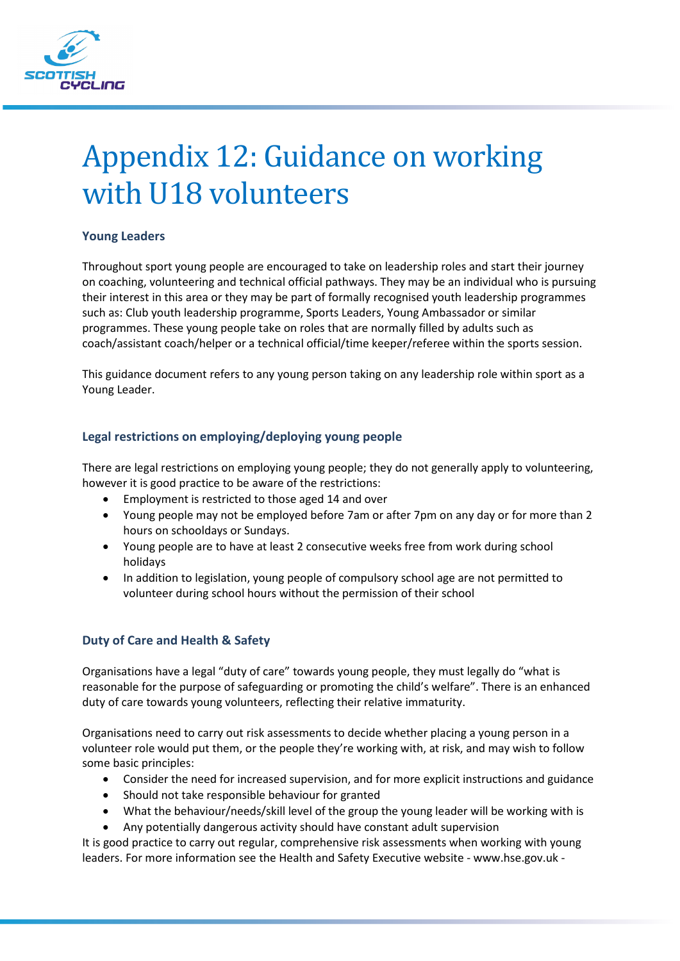

# Appendix 12: Guidance on working with U18 volunteers

# **Young Leaders**

Throughout sport young people are encouraged to take on leadership roles and start their journey on coaching, volunteering and technical official pathways. They may be an individual who is pursuing their interest in this area or they may be part of formally recognised youth leadership programmes such as: Club youth leadership programme, Sports Leaders, Young Ambassador or similar programmes. These young people take on roles that are normally filled by adults such as coach/assistant coach/helper or a technical official/time keeper/referee within the sports session.

This guidance document refers to any young person taking on any leadership role within sport as a Young Leader.

# **Legal restrictions on employing/deploying young people**

There are legal restrictions on employing young people; they do not generally apply to volunteering, however it is good practice to be aware of the restrictions:

- Employment is restricted to those aged 14 and over
- Young people may not be employed before 7am or after 7pm on any day or for more than 2 hours on schooldays or Sundays.
- Young people are to have at least 2 consecutive weeks free from work during school holidays
- In addition to legislation, young people of compulsory school age are not permitted to volunteer during school hours without the permission of their school

# **Duty of Care and Health & Safety**

Organisations have a legal "duty of care" towards young people, they must legally do "what is reasonable for the purpose of safeguarding or promoting the child's welfare". There is an enhanced duty of care towards young volunteers, reflecting their relative immaturity.

Organisations need to carry out risk assessments to decide whether placing a young person in a volunteer role would put them, or the people they're working with, at risk, and may wish to follow some basic principles:

- Consider the need for increased supervision, and for more explicit instructions and guidance
- Should not take responsible behaviour for granted
- What the behaviour/needs/skill level of the group the young leader will be working with is
- Any potentially dangerous activity should have constant adult supervision

It is good practice to carry out regular, comprehensive risk assessments when working with young leaders. For more information see the Health and Safety Executive website - www.hse.gov.uk -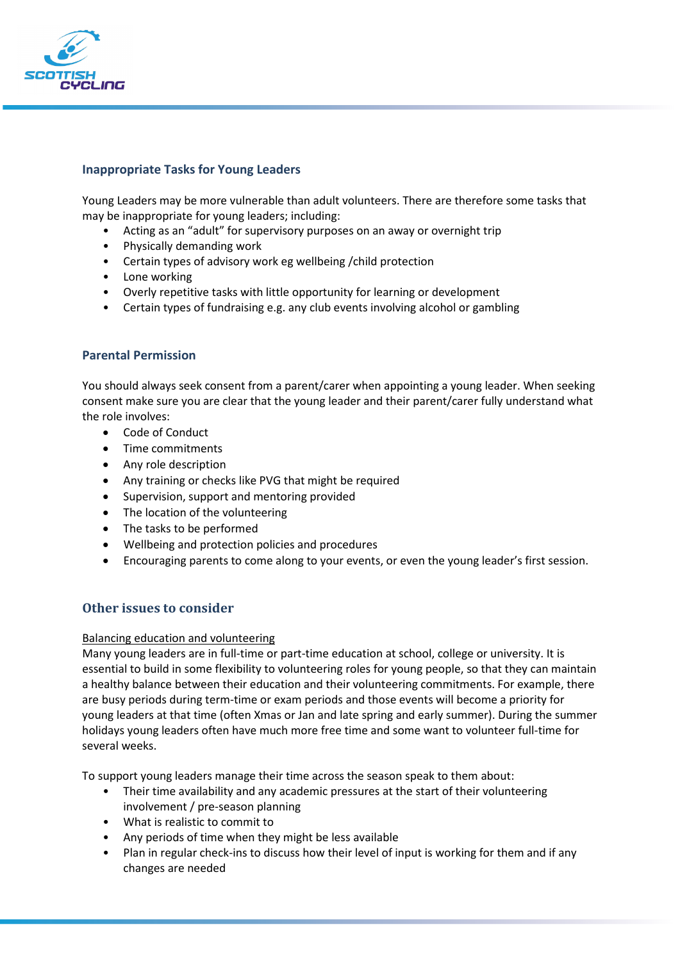

## **Inappropriate Tasks for Young Leaders**

Young Leaders may be more vulnerable than adult volunteers. There are therefore some tasks that may be inappropriate for young leaders; including:

- Acting as an "adult" for supervisory purposes on an away or overnight trip
- Physically demanding work
- Certain types of advisory work eg wellbeing /child protection
- Lone working
- Overly repetitive tasks with little opportunity for learning or development
- Certain types of fundraising e.g. any club events involving alcohol or gambling

## **Parental Permission**

You should always seek consent from a parent/carer when appointing a young leader. When seeking consent make sure you are clear that the young leader and their parent/carer fully understand what the role involves:

- Code of Conduct
- Time commitments
- Any role description
- Any training or checks like PVG that might be required
- Supervision, support and mentoring provided
- The location of the volunteering
- The tasks to be performed
- Wellbeing and protection policies and procedures
- Encouraging parents to come along to your events, or even the young leader's first session.

## **Other issues to consider**

#### Balancing education and volunteering

Many young leaders are in full-time or part-time education at school, college or university. It is essential to build in some flexibility to volunteering roles for young people, so that they can maintain a healthy balance between their education and their volunteering commitments. For example, there are busy periods during term-time or exam periods and those events will become a priority for young leaders at that time (often Xmas or Jan and late spring and early summer). During the summer holidays young leaders often have much more free time and some want to volunteer full-time for several weeks.

To support young leaders manage their time across the season speak to them about:

- Their time availability and any academic pressures at the start of their volunteering involvement / pre-season planning
- What is realistic to commit to
- Any periods of time when they might be less available
- Plan in regular check-ins to discuss how their level of input is working for them and if any changes are needed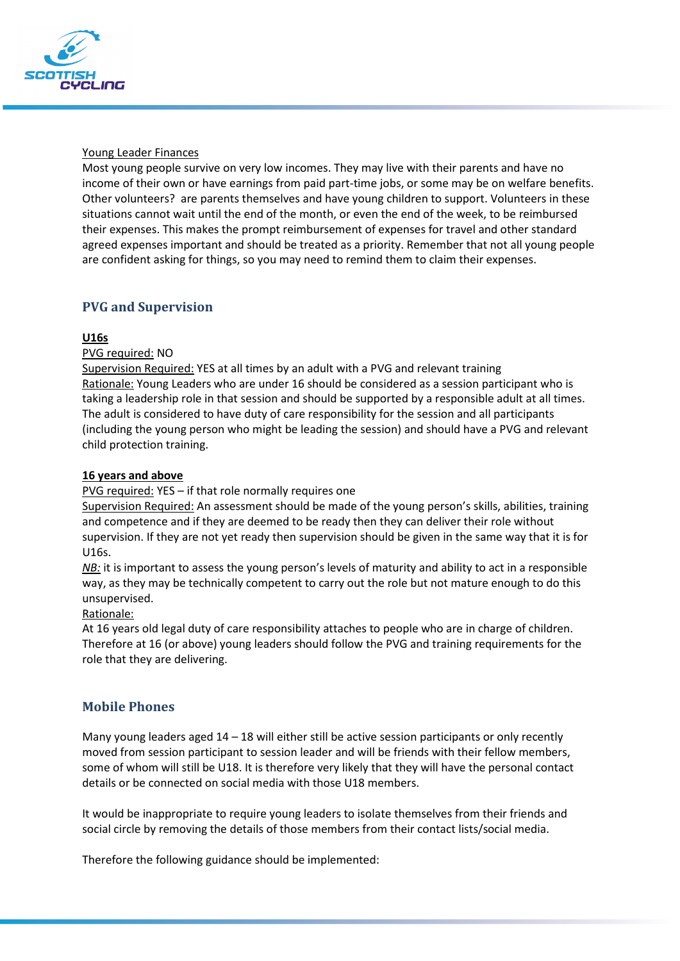

### Young Leader Finances

Most young people survive on very low incomes. They may live with their parents and have no income of their own or have earnings from paid part-time jobs, or some may be on welfare benefits. Other volunteers? are parents themselves and have young children to support. Volunteers in these situations cannot wait until the end of the month, or even the end of the week, to be reimbursed their expenses. This makes the prompt reimbursement of expenses for travel and other standard agreed expenses important and should be treated as a priority. Remember that not all young people are confident asking for things, so you may need to remind them to claim their expenses.

# **PVG and Supervision**

## **U16s**

PVG required: NO

Supervision Required: YES at all times by an adult with a PVG and relevant training Rationale: Young Leaders who are under 16 should be considered as a session participant who is taking a leadership role in that session and should be supported by a responsible adult at all times. The adult is considered to have duty of care responsibility for the session and all participants (including the young person who might be leading the session) and should have a PVG and relevant child protection training.

## **16 years and above**

PVG required: YES - if that role normally requires one

Supervision Required: An assessment should be made of the young person's skills, abilities, training and competence and if they are deemed to be ready then they can deliver their role without supervision. If they are not yet ready then supervision should be given in the same way that it is for U16s.

*NB*: it is important to assess the young person's levels of maturity and ability to act in a responsible way, as they may be technically competent to carry out the role but not mature enough to do this unsupervised.

#### Rationale:

At 16 years old legal duty of care responsibility attaches to people who are in charge of children. Therefore at 16 (or above) young leaders should follow the PVG and training requirements for the role that they are delivering.

## **Mobile Phones**

Many young leaders aged  $14 - 18$  will either still be active session participants or only recently moved from session participant to session leader and will be friends with their fellow members, some of whom will still be U18. It is therefore very likely that they will have the personal contact details or be connected on social media with those U18 members.

It would be inappropriate to require young leaders to isolate themselves from their friends and social circle by removing the details of those members from their contact lists/social media.

Therefore the following guidance should be implemented: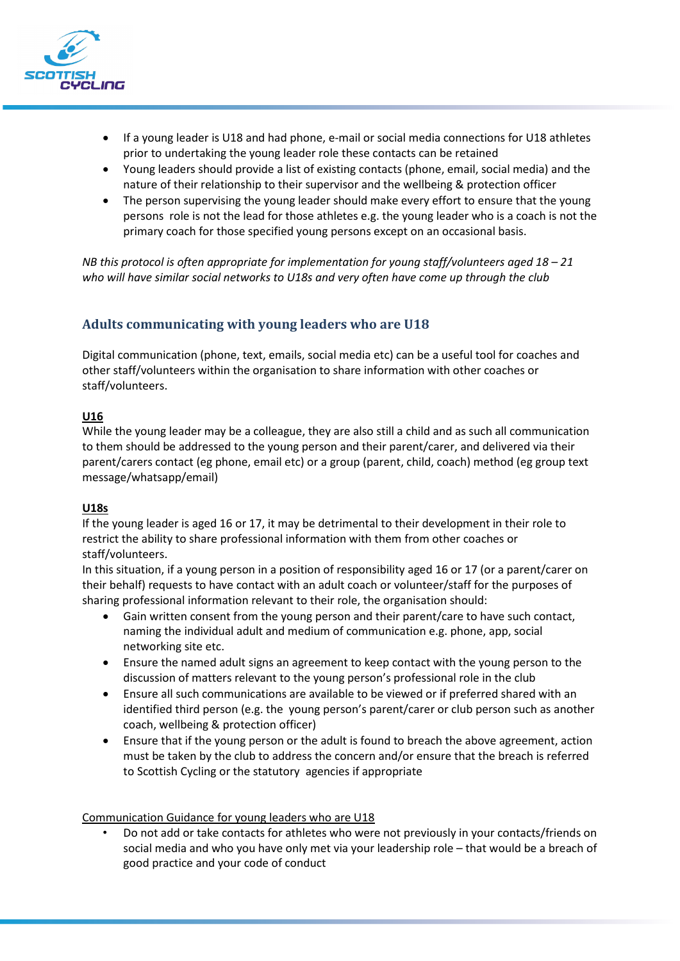

- If a young leader is U18 and had phone, e-mail or social media connections for U18 athletes prior to undertaking the young leader role these contacts can be retained
- Young leaders should provide a list of existing contacts (phone, email, social media) and the nature of their relationship to their supervisor and the wellbeing & protection officer
- The person supervising the young leader should make every effort to ensure that the young persons role is not the lead for those athletes e.g. the young leader who is a coach is not the primary coach for those specified young persons except on an occasional basis.

*NB this protocol is often appropriate for implementation for young staff/volunteers aged 18 – 21 who will have similar social networks to U18s and very often have come up through the club* 

# **Adults communicating with young leaders who are U18**

Digital communication (phone, text, emails, social media etc) can be a useful tool for coaches and other staff/volunteers within the organisation to share information with other coaches or staff/volunteers.

## **U16**

While the young leader may be a colleague, they are also still a child and as such all communication to them should be addressed to the young person and their parent/carer, and delivered via their parent/carers contact (eg phone, email etc) or a group (parent, child, coach) method (eg group text message/whatsapp/email)

## **U18s**

If the young leader is aged 16 or 17, it may be detrimental to their development in their role to restrict the ability to share professional information with them from other coaches or staff/volunteers.

In this situation, if a young person in a position of responsibility aged 16 or 17 (or a parent/carer on their behalf) requests to have contact with an adult coach or volunteer/staff for the purposes of sharing professional information relevant to their role, the organisation should:

- Gain written consent from the young person and their parent/care to have such contact, naming the individual adult and medium of communication e.g. phone, app, social networking site etc.
- Ensure the named adult signs an agreement to keep contact with the young person to the discussion of matters relevant to the young person's professional role in the club
- Ensure all such communications are available to be viewed or if preferred shared with an identified third person (e.g. the young person's parent/carer or club person such as another coach, wellbeing & protection officer)
- Ensure that if the young person or the adult is found to breach the above agreement, action must be taken by the club to address the concern and/or ensure that the breach is referred to Scottish Cycling or the statutory agencies if appropriate

#### Communication Guidance for young leaders who are U18

• Do not add or take contacts for athletes who were not previously in your contacts/friends on social media and who you have only met via your leadership role – that would be a breach of good practice and your code of conduct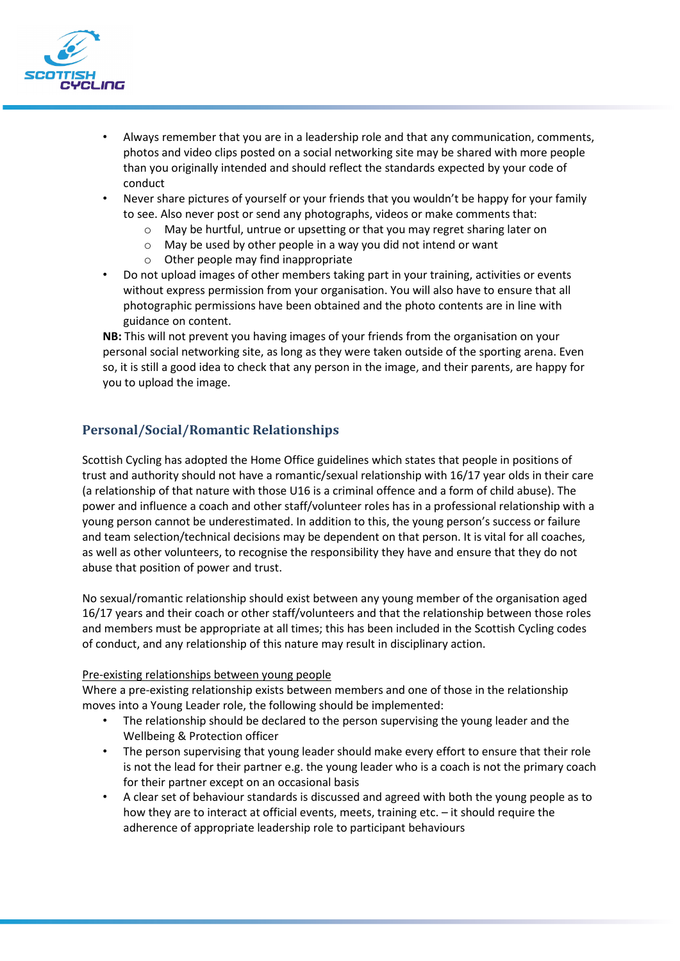

- Always remember that you are in a leadership role and that any communication, comments, photos and video clips posted on a social networking site may be shared with more people than you originally intended and should reflect the standards expected by your code of conduct
- Never share pictures of yourself or your friends that you wouldn't be happy for your family to see. Also never post or send any photographs, videos or make comments that:
	- o May be hurtful, untrue or upsetting or that you may regret sharing later on
	- o May be used by other people in a way you did not intend or want
	- o Other people may find inappropriate
- Do not upload images of other members taking part in your training, activities or events without express permission from your organisation. You will also have to ensure that all photographic permissions have been obtained and the photo contents are in line with guidance on content.

**NB:** This will not prevent you having images of your friends from the organisation on your personal social networking site, as long as they were taken outside of the sporting arena. Even so, it is still a good idea to check that any person in the image, and their parents, are happy for you to upload the image.

# **Personal/Social/Romantic Relationships**

Scottish Cycling has adopted the Home Office guidelines which states that people in positions of trust and authority should not have a romantic/sexual relationship with 16/17 year olds in their care (a relationship of that nature with those U16 is a criminal offence and a form of child abuse). The power and influence a coach and other staff/volunteer roles has in a professional relationship with a young person cannot be underestimated. In addition to this, the young person's success or failure and team selection/technical decisions may be dependent on that person. It is vital for all coaches, as well as other volunteers, to recognise the responsibility they have and ensure that they do not abuse that position of power and trust.

No sexual/romantic relationship should exist between any young member of the organisation aged 16/17 years and their coach or other staff/volunteers and that the relationship between those roles and members must be appropriate at all times; this has been included in the Scottish Cycling codes of conduct, and any relationship of this nature may result in disciplinary action.

#### Pre-existing relationships between young people

Where a pre-existing relationship exists between members and one of those in the relationship moves into a Young Leader role, the following should be implemented:

- The relationship should be declared to the person supervising the young leader and the Wellbeing & Protection officer
- The person supervising that young leader should make every effort to ensure that their role is not the lead for their partner e.g. the young leader who is a coach is not the primary coach for their partner except on an occasional basis
- A clear set of behaviour standards is discussed and agreed with both the young people as to how they are to interact at official events, meets, training etc. – it should require the adherence of appropriate leadership role to participant behaviours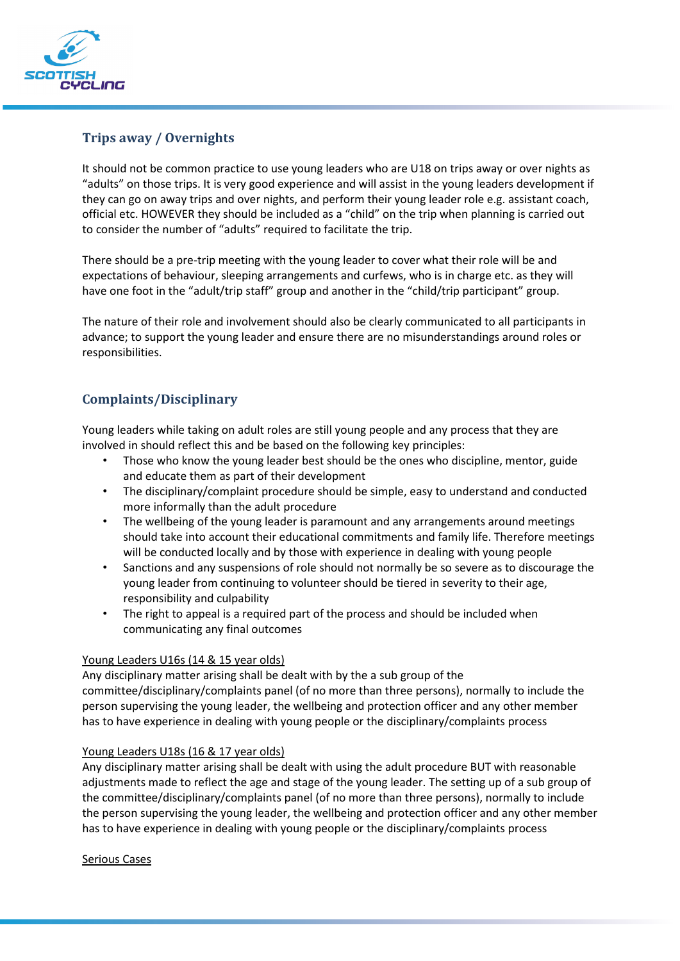

# **Trips away / Overnights**

It should not be common practice to use young leaders who are U18 on trips away or over nights as "adults" on those trips. It is very good experience and will assist in the young leaders development if they can go on away trips and over nights, and perform their young leader role e.g. assistant coach, official etc. HOWEVER they should be included as a "child" on the trip when planning is carried out to consider the number of "adults" required to facilitate the trip.

There should be a pre-trip meeting with the young leader to cover what their role will be and expectations of behaviour, sleeping arrangements and curfews, who is in charge etc. as they will have one foot in the "adult/trip staff" group and another in the "child/trip participant" group.

The nature of their role and involvement should also be clearly communicated to all participants in advance; to support the young leader and ensure there are no misunderstandings around roles or responsibilities.

# **Complaints/Disciplinary**

Young leaders while taking on adult roles are still young people and any process that they are involved in should reflect this and be based on the following key principles:

- Those who know the young leader best should be the ones who discipline, mentor, guide and educate them as part of their development
- The disciplinary/complaint procedure should be simple, easy to understand and conducted more informally than the adult procedure
- The wellbeing of the young leader is paramount and any arrangements around meetings should take into account their educational commitments and family life. Therefore meetings will be conducted locally and by those with experience in dealing with young people
- Sanctions and any suspensions of role should not normally be so severe as to discourage the young leader from continuing to volunteer should be tiered in severity to their age, responsibility and culpability
- The right to appeal is a required part of the process and should be included when communicating any final outcomes

## Young Leaders U16s (14 & 15 year olds)

Any disciplinary matter arising shall be dealt with by the a sub group of the committee/disciplinary/complaints panel (of no more than three persons), normally to include the person supervising the young leader, the wellbeing and protection officer and any other member has to have experience in dealing with young people or the disciplinary/complaints process

#### Young Leaders U18s (16 & 17 year olds)

Any disciplinary matter arising shall be dealt with using the adult procedure BUT with reasonable adjustments made to reflect the age and stage of the young leader. The setting up of a sub group of the committee/disciplinary/complaints panel (of no more than three persons), normally to include the person supervising the young leader, the wellbeing and protection officer and any other member has to have experience in dealing with young people or the disciplinary/complaints process

#### Serious Cases